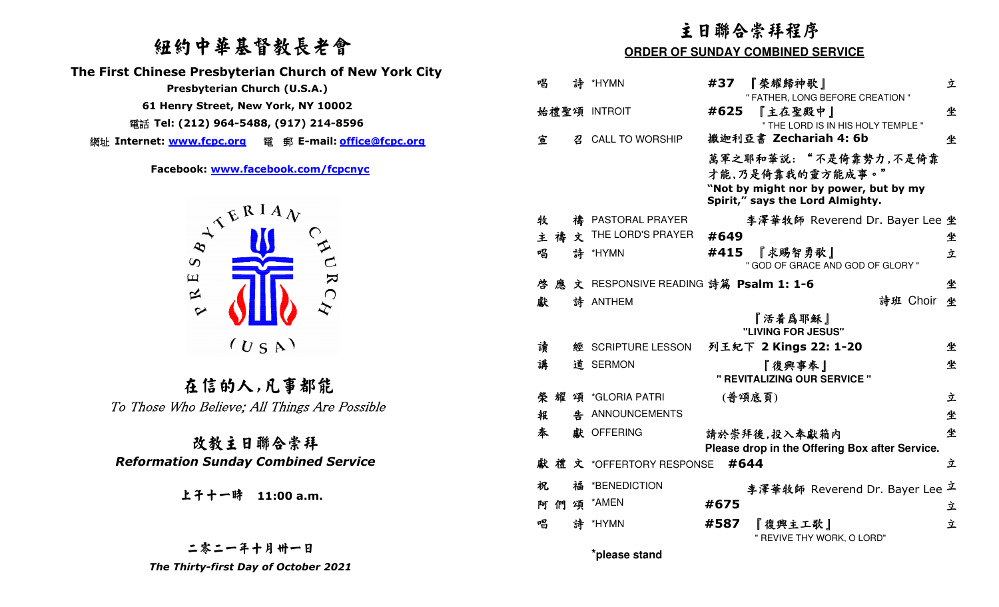# 紐約中華基督教長老會



## 改教主日聯合崇拜  *Reformation Sunday Combined Service*

|                                                                                               | 主日聯合崇拜程序                                                                                                               |   |  |  |
|-----------------------------------------------------------------------------------------------|------------------------------------------------------------------------------------------------------------------------|---|--|--|
| 纽约中華基督教長老會                                                                                    | <b>ORDER OF SUNDAY COMBINED SERVICE</b>                                                                                |   |  |  |
| The First Chinese Presbyterian Church of New York City<br>Presbyterian Church (U.S.A.)        | 唱<br>詩<br>*HYMN<br>『榮耀歸神歌』<br>#37<br>" FATHER, LONG BEFORE CREATION "                                                  | 立 |  |  |
| 61 Henry Street, New York, NY 10002<br>電話 Tel: (212) 964-5488, (917) 214-8596                 | 始禮聖頌 INTROIT<br>#625<br>『主在聖殿中』                                                                                        | 坐 |  |  |
| 網址 Internet: www.fcpc.org 電 郵 E-mail: office@fcpc.org                                         | " THE LORD IS IN HIS HOLY TEMPLE "<br>撒迦利亞書 Zechariah 4: 6b<br><b>CALL TO WORSHIP</b><br>宣<br>召                        | 坐 |  |  |
| Facebook: www.facebook.com/fcpcnyc<br>$A^{\mathcal{A}^{\mathbf{E}}\mathbf{R}^{\mathbf{I} A}}$ | 萬軍之耶和華説: "不是倚靠勢力,不是倚靠<br>才能,乃是倚靠我的靈方能成事。"<br>"Not by might nor by power, but by my<br>Spirit," says the Lord Almighty. |   |  |  |
|                                                                                               | 牧<br>禱 PASTORAL PRAYER<br>李澤華牧師 Reverend Dr. Bayer Lee 坐                                                               |   |  |  |
|                                                                                               | <b>x</b> THE LORD'S PRAYER<br>主禧<br>#649                                                                               | 坐 |  |  |
| مح<br>$\infty$                                                                                | #415<br>唱<br>詩<br>『求賜智勇歌』<br>*HYMN<br>" GOD OF GRACE AND GOD OF GLORY "                                                | 立 |  |  |
| $\mathbf k$<br>$\mathbf \Xi$                                                                  | 文 RESPONSIVE READING 詩篇 Psalm 1: 1-6<br>啓                                                                              | 坐 |  |  |
| $\bigcap$<br>$\approx$                                                                        | 詩班 Choir 坐<br>詩 ANTHEM<br>獻                                                                                            |   |  |  |
| $\sim$                                                                                        | 『活着爲耶穌』<br>"LIVING FOR JESUS"                                                                                          |   |  |  |
| (U S A)                                                                                       | 讀<br>列王紀下 2 Kings 22: 1-20<br>經 SCRIPTURE LESSON                                                                       | 坐 |  |  |
|                                                                                               | 講<br>道 SERMON<br>『復興事奉』<br>" REVITALIZING OUR SERVICE "                                                                | 坐 |  |  |
| 在信的人,凡事都能                                                                                     | (普頌底頁)<br>榮耀頌 *GLORIA PATRI                                                                                            | 立 |  |  |
| To Those Who Believe; All Things Are Possible                                                 | ANNOUNCEMENTS<br>報<br>告                                                                                                | 坐 |  |  |
| 改教主日聯合崇拜                                                                                      | 奉<br>獻 OFFERING<br>請於崇拜後,投入奉獻箱内<br>Please drop in the Offering Box after Service.                                      | 坐 |  |  |
| <b>Reformation Sunday Combined Service</b>                                                    | #644                                                                                                                   | 立 |  |  |
| 上午十一時 11:00 a.m.                                                                              | *BENEDICTION<br>祝<br>李澤華牧師 Reverend Dr. Bayer Lee <sup>立</sup>                                                         |   |  |  |
|                                                                                               | 阿 們 頌 *AMEN<br>#675                                                                                                    | 立 |  |  |
|                                                                                               | 詩 *HYMN<br>『復興主工歌』<br>唱<br>#587<br>" REVIVE THY WORK, O LORD"                                                          | 立 |  |  |
| 二零二一年十月卅一日                                                                                    | *please stand                                                                                                          |   |  |  |
| The Thirty-first Day of October 2021                                                          |                                                                                                                        |   |  |  |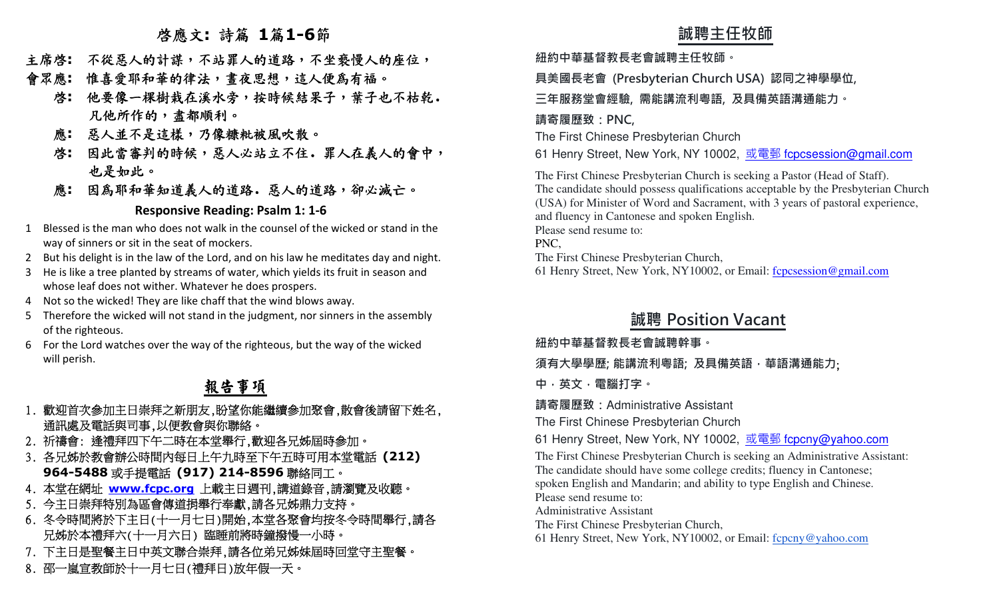## 啟應文**:** 詩篇 **1**篇**1-6**節

- 主席啟**:** 不從惡人的計謀,不站罪人的道路,不坐褻慢人的座位,
- 會眾應**:** 惟喜愛耶和華的律法,晝夜思想,這人便為有福。
	- 啟**:** 他要像一棵樹栽在溪水旁,按時候結果子,葉子也不枯乾.凡他所作的,盡都順利。
	- 應**:** 惡人並不是這樣,乃像糠粃被風吹散。
	- 啟**:** 因此當審判的時候,惡人必站立不住.罪人在義人的會中,也是如此。
	- 應**:** 因為耶和華知道義人的道路.惡人的道路,卻必滅亡。

### **Responsive Reading: Psalm 1: 1-6**

- 1 Blessed is the man who does not walk in the counsel of the wicked or stand in the way of sinners or sit in the seat of mockers.
- 2 But his delight is in the law of the Lord, and on his law he meditates day and night.
- 3 He is like a tree planted by streams of water, which yields its fruit in season and whose leaf does not wither. Whatever he does prospers.
- 4Not so the wicked! They are like chaff that the wind blows away.
- 5 Therefore the wicked will not stand in the judgment, nor sinners in the assembly of the righteous.
- 6 For the Lord watches over the way of the righteous, but the way of the wicked will perish.

# 報告事項

- 1. 歡迎首次參加主日崇拜之新朋友,盼望你能繼續參加聚會,散會後請留下姓名, 通訊處及電話與司事,以便教會與你聯絡。
- 2. 祈禱會: 逢禮拜四下午二時在本堂舉行,歡迎各兄姊屆時參加。
- 3. 各兄姊於教會辦公時間內每日上午九時至下午五時可用本堂電話 **(212) 964-5488**或手提電話 **(917) 214-8596**聯絡同工。
- 4. 本堂在網址 <mark>www.fcpc.org</mark> 上載主日週刊,講道錄音,請瀏覽及收聽。<br>< 수主旦崇拜特別为厚命傳道過與行表戲 請久見他則力去技。
- 5. 今主日崇拜特別為區會傳道捐舉行奉獻,請各兄姊鼎力支持。
- 6. 冬令時間將於下主日(十一月七日)開始,本堂各聚會均按冬令時間舉行,請各 兄姊於本禮拜六(十一月六日) 臨睡前將時鐘撥慢一小時。
- 7. 下主日是聖餐主日中英文聯合崇拜,請各位弟兄姊妹屆時回堂守主聖餐。
- 8. 邵一嵐宣教師於十一月七日(禮拜日)放年假一天。

**誠聘主任牧師 紐約中華基督教⻑老會誠聘主任牧師。 具美國⻑老會 (Presbyterian Church USA) 認同之神學學位, 三年服務堂會經驗, 需能講流利粵語, 及具備英語溝通能力。 請寄履歷致:PNC,** The First Chinese Presbyterian Church 61 Henry Street, New York, NY 10002, 或電郵 fcpcsession@gmail.com The First Chinese Presbyterian Church is seeking a Pastor (Head of Staff). The candidate should possess qualifications acceptable by the Presbyterian Church (USA) for Minister of Word and Sacrament, with 3 years of pastoral experience, and fluency in Cantonese and spoken English. Please send resume to: PNC, The First Chinese Presbyterian Church, 61 Henry Street, New York, NY10002, or Email: fcpcsession@gmail.com **誠聘 Position Vacant 紐約中華基督教⻑老會誠聘幹事。 須有大學學歷; 能講流利粵語; 及具備英語,華語溝通能力**; **中,英文,電腦打字。 請寄履歷致:**Administrative Assistant The First Chinese Presbyterian Church 61 Henry Street, New York, NY 10002, 或電郵 fcpcny@yahoo.com The First Chinese Presbyterian Church is seeking an Administrative Assistant: The candidate should have some college credits; fluency in Cantonese; spoken English and Mandarin; and ability to type English and Chinese. Please send resume to: Administrative Assistant The First Chinese Presbyterian Church, 61 Henry Street, New York, NY10002, or Email: fcpcny@yahoo.com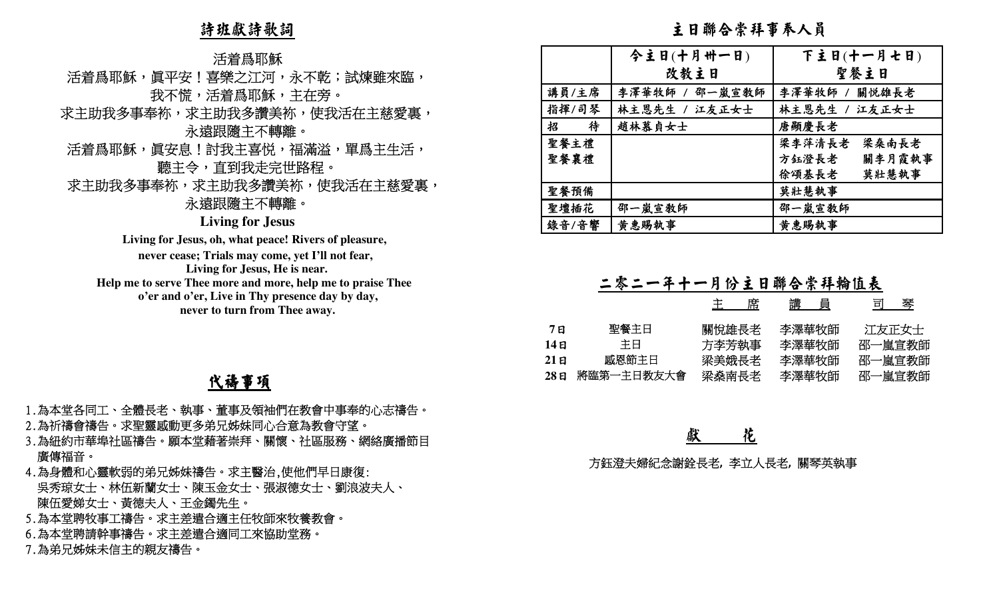### 詩班獻詩歌詞

- 
- 活着為耶穌<br>、活着為耶穌<br>、最高耶穌,眞平安!喜樂之江河,永不乾;試煉雖來臨,<br>我不慌,活着爲耶穌,活着爲耶穌,求主助我多讀美袮,並是是,<br>活着爲耶穌,眞安息!討我主喜悦,福滿溢,單爲主生活,<br>活着爲耶穌,眞安息!討我主喜悦,福滿溢,單爲主生活,<br>聽主令,直到我走完世路程。<br>求主助我多事奉袮,求主助我多讚美袮,使我活在主慈愛裏,<br>永遠跟隨主不轉離。
- 
- 

### **Living for Jesus**

# 代禱事項

- 
- 
- 
- 
- 
- 
- 

| 詩班獻詩歌詞                                                                                                                                                                                                                               |                                            | 主日聯合崇拜事奉人員                                              |                                                                                   |
|--------------------------------------------------------------------------------------------------------------------------------------------------------------------------------------------------------------------------------------|--------------------------------------------|---------------------------------------------------------|-----------------------------------------------------------------------------------|
| 活着爲耶穌                                                                                                                                                                                                                                |                                            | 今主日(十月卅一日)                                              | 下主日(十一月七日)                                                                        |
| 活着爲耶穌,眞平安!喜樂之江河,永不乾;試煉雖來臨,                                                                                                                                                                                                           |                                            | 改教主日                                                    | 聖餐主日                                                                              |
| 我不慌,活着爲耶穌,主在旁。                                                                                                                                                                                                                       | 講員/主席                                      | 李澤華牧師 /<br>邵一嵐宣教師                                       | 李澤華牧師 /<br>關悦雄長老                                                                  |
| 求主助我多事奉袮,求主助我多讚美袮,使我活在主慈愛裏,                                                                                                                                                                                                          | 指揮/司琴                                      | 林主恩先生 /<br>江友正女士                                        | 江友正女士<br>林主恩先生                                                                    |
| 永遠跟隨主不轉離。                                                                                                                                                                                                                            | 招<br>待                                     | 趙林慕貞女士                                                  | 唐顯慶長老                                                                             |
| 活着爲耶穌,眞安息!討我主喜悦,福滿溢,單爲主生活,                                                                                                                                                                                                           | 聖餐主禮                                       |                                                         | 梁李萍清長老<br>梁桑南長老                                                                   |
|                                                                                                                                                                                                                                      | 聖餐襄禮                                       |                                                         | 方鈺澄長老<br>關李月霞執事                                                                   |
| 聽主令,直到我走完世路程。                                                                                                                                                                                                                        |                                            |                                                         | 徐頌基長老<br>莫壯慧執事                                                                    |
| 求主助我多事奉袮,求主助我多讚美袮,使我活在主慈愛裏,                                                                                                                                                                                                          | 聖餐預備                                       |                                                         | 莫壯慧執事                                                                             |
| 永遠跟隨主不轉離。                                                                                                                                                                                                                            | 聖壇插花                                       | 邵一嵐宣教師                                                  | 邵一嵐宣敎師                                                                            |
| <b>Living for Jesus</b><br>Living for Jesus, oh, what peace! Rivers of pleasure,                                                                                                                                                     | 錄音/音響                                      | 黄惠賜執事                                                   | 黄惠賜執事                                                                             |
| never cease; Trials may come, yet I'll not fear,<br>Living for Jesus, He is near.<br>Help me to serve Thee more and more, help me to praise Thee<br>o'er and o'er, Live in Thy presence day by day,<br>never to turn from Thee away. | 聖餐主日<br>7E<br>主日<br>14E<br>感恩節主日<br>$21$ 日 | 二零二一年十一月份主日聯合崇拜輪值表<br>主<br>席<br>關悅雄長老<br>方李芳執事<br>梁美娥長老 | <u> 講 員</u><br><u>司 琴</u><br>李澤華牧師<br>江友正女士<br>李澤華牧師<br>邵一嵐宣教師<br>李澤華牧師<br>邵一嵐宣教師 |
| 代禱事項                                                                                                                                                                                                                                 | 將臨第一主日教友大會<br>$28$ 日                       | 梁燊南長老                                                   | 邵一嵐宣教師<br>李澤華牧師                                                                   |
| 1.為本堂各同工、全體長老、執事、董事及領袖們在教會中事奉的心志禱告。<br>2.為祈禱會禱告。求聖靈感動更多弟兄姊妹同心合意為教會守望。<br>3.為紐約市華埠社區禱告。願本堂藉著崇拜、關懷、社區服務、網絡廣播節目<br>廣傳福音。                                                                                                                |                                            | 獻<br>花                                                  |                                                                                   |
| 4.為身體和心靈軟弱的弟兄姊妹禱告。求主醫治,使他們早日康復:                                                                                                                                                                                                      |                                            | 方鈺澄夫婦紀念謝銓長老,李立人長老,關琴英執事                                 |                                                                                   |
| 吳秀琼女士、林伍新蘭女士、陳玉金女士、張淑德女士、劉浪波夫人、                                                                                                                                                                                                      |                                            |                                                         |                                                                                   |
| 陳伍愛娣女士、黃德夫人、王金鐲先生。                                                                                                                                                                                                                   |                                            |                                                         |                                                                                   |
| 5.為本堂聘牧事工禱告。求主差遣合適主任牧師來牧養教會。                                                                                                                                                                                                         |                                            |                                                         |                                                                                   |
| 6.為本堂聘請幹事禱告。求主差遣合適同工來協助堂務。                                                                                                                                                                                                           |                                            |                                                         |                                                                                   |
| 7.為弟兄姊妹未信主的親友禱告。                                                                                                                                                                                                                     |                                            |                                                         |                                                                                   |

|       |            | 王  席  | 講   員 | - 可りする うちじょう うちじょう 引き替え |
|-------|------------|-------|-------|-------------------------|
| 7 E   | 聖餐主日       | 關悅雄長老 | 李澤華牧師 | 江友正女士                   |
| 14 E  | 主日         | 方李芳執事 | 李澤華牧師 | 邵一嵐宣教師                  |
| 21 E  | 感恩節主日      | 梁美娥長老 | 李澤華牧師 | 邵一嵐宣教師                  |
| 28 FI | 將臨第一主日教友大會 | 梁燊南長老 | 李澤華牧師 | 邵一嵐官教師                  |